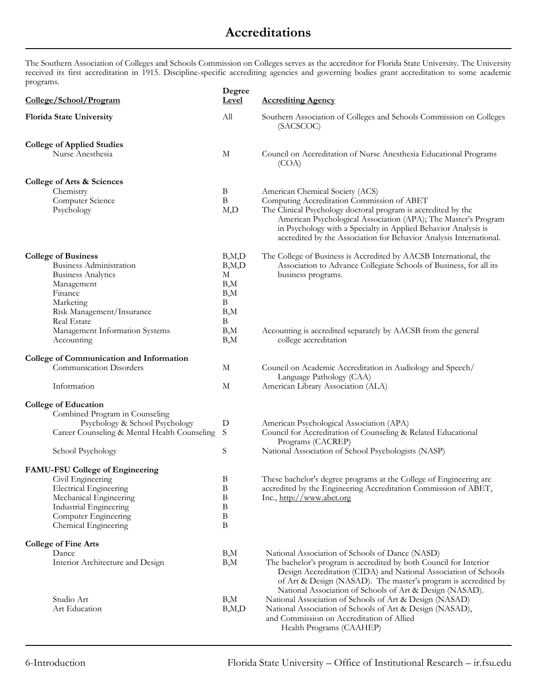## **Accreditations**

The Southern Association of Colleges and Schools Commission on Colleges serves as the accreditor for Florida State University. The University received its first accreditation in 1915. Discipline-specific accrediting agencies and governing bodies grant accreditation to some academic programs.

| College/School/Program                                                                                                                                               | Degree<br><b>Level</b>                                 | <b>Accrediting Agency</b>                                                                                                                                                                                                                                                                                                                                |
|----------------------------------------------------------------------------------------------------------------------------------------------------------------------|--------------------------------------------------------|----------------------------------------------------------------------------------------------------------------------------------------------------------------------------------------------------------------------------------------------------------------------------------------------------------------------------------------------------------|
| <b>Florida State University</b>                                                                                                                                      | All                                                    | Southern Association of Colleges and Schools Commission on Colleges<br>(SACSCOC)                                                                                                                                                                                                                                                                         |
| <b>College of Applied Studies</b><br>Nurse Anesthesia                                                                                                                | $\mathbf M$                                            | Council on Accreditation of Nurse Anesthesia Educational Programs<br>(COA)                                                                                                                                                                                                                                                                               |
| College of Arts & Sciences                                                                                                                                           |                                                        |                                                                                                                                                                                                                                                                                                                                                          |
| Chemistry<br>Computer Science<br>Psychology                                                                                                                          | B<br>$\, {\bf B}$<br>M,D                               | American Chemical Society (ACS)<br>Computing Accreditation Commission of ABET<br>The Clinical Psychology doctoral program is accredited by the<br>American Psychological Association (APA); The Master's Program<br>in Psychology with a Specialty in Applied Behavior Analysis is<br>accredited by the Association for Behavior Analysis International. |
| <b>College of Business</b><br>Business Administration<br><b>Business Analytics</b><br>Management<br>Finance<br>Marketing<br>Risk Management/Insurance<br>Real Estate | B, M, D<br>B, M, D<br>М<br>B,M<br>B,M<br>B<br>B,M<br>B | The College of Business is Accredited by AACSB International, the<br>Association to Advance Collegiate Schools of Business, for all its<br>business programs.                                                                                                                                                                                            |
| Management Information Systems<br>Accounting                                                                                                                         | B,M<br>$B_{,}M$                                        | Accounting is accredited separately by AACSB from the general<br>college accreditation                                                                                                                                                                                                                                                                   |
| <b>College of Communication and Information</b><br><b>Communication Disorders</b>                                                                                    | М                                                      | Council on Academic Accreditation in Audiology and Speech/<br>Language Pathology (CAA)                                                                                                                                                                                                                                                                   |
| Information                                                                                                                                                          | М                                                      | American Library Association (ALA)                                                                                                                                                                                                                                                                                                                       |
| <b>College of Education</b><br>Combined Program in Counseling<br>Psychology & School Psychology                                                                      | D                                                      | American Psychological Association (APA)                                                                                                                                                                                                                                                                                                                 |
| Career Counseling & Mental Health Counseling                                                                                                                         | S                                                      | Council for Accreditation of Counseling & Related Educational<br>Programs (CACREP)                                                                                                                                                                                                                                                                       |
| School Psychology                                                                                                                                                    | S                                                      | National Association of School Psychologists (NASP)                                                                                                                                                                                                                                                                                                      |
| <b>FAMU-FSU College of Engineering</b>                                                                                                                               |                                                        |                                                                                                                                                                                                                                                                                                                                                          |
| Civil Engineering<br><b>Electrical Engineering</b><br>Mechanical Engineering<br>Industrial Engineering<br>Computer Engineering<br>Chemical Engineering               | B<br>B<br>B<br>B<br>B<br>B                             | These bachelor's degree programs at the College of Engineering are<br>accredited by the Engineering Accreditation Commission of ABET,<br>Inc., http://www.abet.org                                                                                                                                                                                       |
| <b>College of Fine Arts</b>                                                                                                                                          |                                                        |                                                                                                                                                                                                                                                                                                                                                          |
| Dance<br>Interior Architecture and Design                                                                                                                            | B,M<br>B,M                                             | National Association of Schools of Dance (NASD)<br>The bachelor's program is accredited by both Council for Interior<br>Design Accreditation (CIDA) and National Association of Schools<br>of Art & Design (NASAD). The master's program is accredited by<br>National Association of Schools of Art & Design (NASAD).                                    |
| Studio Art<br>Art Education                                                                                                                                          | B,M<br>B, M, D                                         | National Association of Schools of Art & Design (NASAD)<br>National Association of Schools of Art & Design (NASAD),<br>and Commission on Accreditation of Allied<br>Health Programs (CAAHEP)                                                                                                                                                             |